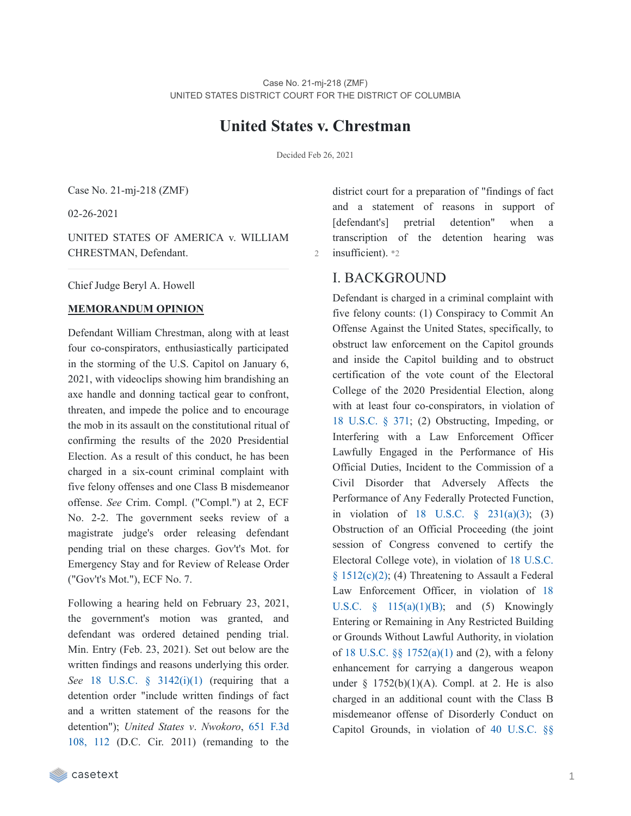# **United States v. Chrestman**

Decided Feb 26, 2021

Case No. 21-mj-218 (ZMF)

02-26-2021

UNITED STATES OF AMERICA v. WILLIAM CHRESTMAN, Defendant.

Chief Judge Beryl A. Howell

#### **MEMORANDUM OPINION**

Defendant William Chrestman, along with at least four co-conspirators, enthusiastically participated in the storming of the U.S. Capitol on January 6, 2021, with videoclips showing him brandishing an axe handle and donning tactical gear to confront, threaten, and impede the police and to encourage the mob in its assault on the constitutional ritual of confirming the results of the 2020 Presidential Election. As a result of this conduct, he has been charged in a six-count criminal complaint with five felony offenses and one Class B misdemeanor offense. *See* Crim. Compl. ("Compl.") at 2, ECF No. 2-2. The government seeks review of a magistrate judge's order releasing defendant pending trial on these charges. Gov't's Mot. for Emergency Stay and for Review of Release Order ("Gov't's Mot."), ECF No. 7.

Following a hearing held on February 23, 2021, the government's motion was granted, and defendant was ordered detained pending trial. Min. Entry (Feb. 23, 2021). Set out below are the written findings and reasons underlying this order. *See* 18 U.S.C. § [3142\(i\)\(1\)](https://casetext.com/statute/united-states-code/title-18-crimes-and-criminal-procedure/part-ii-criminal-procedure/chapter-207-release-and-detention-pending-judicial-proceedings/section-3142-release-or-detention-of-a-defendant-pending-trial) (requiring that a detention order "include written findings of fact and a written statement of the reasons for the [detention"\);](https://casetext.com/case/us-v-nwokoro-11-3046-dc-cir-8-3-2011#p112) *United States v*. *Nwokoro*, 651 F.3d 108, 112 (D.C. Cir. 2011) (remanding to the

district court for a preparation of "findings of fact and a statement of reasons in support of [defendant's] pretrial detention" when a transcription of the detention hearing was 2 insufficient). \*2

# I. BACKGROUND

Defendant is charged in a criminal complaint with five felony counts: (1) Conspiracy to Commit An Offense Against the United States, specifically, to obstruct law enforcement on the Capitol grounds and inside the Capitol building and to obstruct certification of the vote count of the Electoral College of the 2020 Presidential Election, along with at least four co-conspirators, in violation of 18 [U.S.C.](https://casetext.com/statute/united-states-code/title-18-crimes-and-criminal-procedure/part-i-crimes/chapter-19-conspiracy/section-371-conspiracy-to-commit-offense-or-to-defraud-united-states) § 371; (2) Obstructing, Impeding, or Interfering with a Law Enforcement Officer Lawfully Engaged in the Performance of His Official Duties, Incident to the Commission of a Civil Disorder that Adversely Affects the Performance of Any Federally Protected Function, in violation of 18 U.S.C.  $\frac{6}{9}$  [231\(a\)\(3\);](https://casetext.com/statute/united-states-code/title-18-crimes-and-criminal-procedure/part-i-crimes/chapter-12-civil-disorders/section-231-civil-disorders) (3) Obstruction of an Official Proceeding (the joint session of Congress convened to certify the Electoral College vote), in violation of 18 U.S.C.  $§ 1512(c)(2);$  (4) [Threatening](https://casetext.com/statute/united-states-code/title-18-crimes-and-criminal-procedure/part-i-crimes/chapter-73-obstruction-of-justice/section-1512-tampering-with-a-witness-victim-or-an-informant) to Assault a Federal Law Enforcement Officer, in violation of 18 U.S.C.  $\S$  [115\(a\)\(1\)\(B\);](https://casetext.com/statute/united-states-code/title-18-crimes-and-criminal-procedure/part-i-crimes/chapter-7-assault/section-115-influencing-impeding-or-retaliating-against-a-federal-official-by-threatening-or-injuring-a-family-member) and (5) Knowingly Entering or Remaining in Any Restricted Building or Grounds Without Lawful Authority, in violation of 18 U.S.C.  $\S$  [1752\(a\)\(1\)](https://casetext.com/statute/united-states-code/title-18-crimes-and-criminal-procedure/part-i-crimes/chapter-84-presidential-and-presidential-staff-assassination-kidnapping-and-assault/section-1752-restricted-building-or-grounds) and (2), with a felony enhancement for carrying a dangerous weapon under  $\S$  1752(b)(1)(A). Compl. at 2. He is also charged in an additional count with the Class B misdemeanor offense of Disorderly Conduct on Capitol [Grounds,](https://casetext.com/statute/united-states-code/title-40-public-buildings-property-and-works/subtitle-ii-public-buildings-and-works/part-b-united-states-capitol/chapter-51-united-states-capitol-buildings-and-grounds/section-5104-unlawful-activities) in violation of 40 U.S.C. §§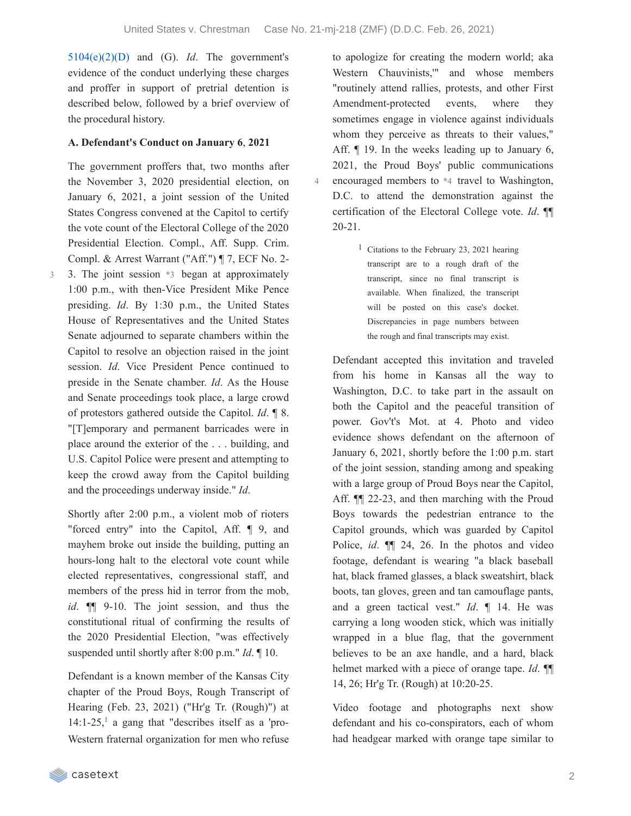4

[5104\(e\)\(2\)\(D\)](https://casetext.com/statute/united-states-code/title-40-public-buildings-property-and-works/subtitle-ii-public-buildings-and-works/part-b-united-states-capitol/chapter-51-united-states-capitol-buildings-and-grounds/section-5104-unlawful-activities) and (G). *Id*. The government's evidence of the conduct underlying these charges and proffer in support of pretrial detention is described below, followed by a brief overview of the procedural history.

#### **A. Defendant's Conduct on January 6**, **2021**

The government proffers that, two months after the November 3, 2020 presidential election, on January 6, 2021, a joint session of the United States Congress convened at the Capitol to certify the vote count of the Electoral College of the 2020 Presidential Election. Compl., Aff. Supp. Crim. Compl. & Arrest Warrant ("Aff.") ¶ 7, ECF No. 2-

3. The joint session \*3 began at approximately 1:00 p.m., with then-Vice President Mike Pence presiding. *Id*. By 1:30 p.m., the United States House of Representatives and the United States Senate adjourned to separate chambers within the Capitol to resolve an objection raised in the joint session. *Id*. Vice President Pence continued to preside in the Senate chamber. *Id*. As the House and Senate proceedings took place, a large crowd of protestors gathered outside the Capitol. *Id*. ¶ 8. "[T]emporary and permanent barricades were in place around the exterior of the . . . building, and U.S. Capitol Police were present and attempting to keep the crowd away from the Capitol building and the proceedings underway inside." *Id*. 3

Shortly after 2:00 p.m., a violent mob of rioters "forced entry" into the Capitol, Aff. ¶ 9, and mayhem broke out inside the building, putting an hours-long halt to the electoral vote count while elected representatives, congressional staff, and members of the press hid in terror from the mob, *id*. ¶¶ 9-10. The joint session, and thus the constitutional ritual of confirming the results of the 2020 Presidential Election, "was effectively suspended until shortly after 8:00 p.m." *Id*. ¶ 10.

Defendant is a known member of the Kansas City chapter of the Proud Boys, Rough Transcript of Hearing (Feb. 23, 2021) ("Hr'g Tr. (Rough)") at  $14:1-25$  $14:1-25$ , a gang that "describes itself as a 'pro-Western fraternal organization for men who refuse

to apologize for creating the modern world; aka Western Chauvinists,'" and whose members "routinely attend rallies, protests, and other First Amendment-protected events, where they sometimes engage in violence against individuals whom they perceive as threats to their values," Aff.  $\P$  19. In the weeks leading up to January 6, 2021, the Proud Boys' public communications encouraged members to \*4 travel to Washington, D.C. to attend the demonstration against the certification of the Electoral College vote. *Id*. ¶¶ 20-21.

> <sup>1</sup> Citations to the February 23, 2021 hearing transcript are to a rough draft of the transcript, since no final transcript is available. When finalized, the transcript will be posted on this case's docket. Discrepancies in page numbers between the rough and final transcripts may exist.

Defendant accepted this invitation and traveled from his home in Kansas all the way to Washington, D.C. to take part in the assault on both the Capitol and the peaceful transition of power. Gov't's Mot. at 4. Photo and video evidence shows defendant on the afternoon of January 6, 2021, shortly before the 1:00 p.m. start of the joint session, standing among and speaking with a large group of Proud Boys near the Capitol, Aff. ¶¶ 22-23, and then marching with the Proud Boys towards the pedestrian entrance to the Capitol grounds, which was guarded by Capitol Police, *id*. ¶¶ 24, 26. In the photos and video footage, defendant is wearing "a black baseball hat, black framed glasses, a black sweatshirt, black boots, tan gloves, green and tan camouflage pants, and a green tactical vest." *Id*. ¶ 14. He was carrying a long wooden stick, which was initially wrapped in a blue flag, that the government believes to be an axe handle, and a hard, black helmet marked with a piece of orange tape. *Id*. ¶¶ 14, 26; Hr'g Tr. (Rough) at 10:20-25.

Video footage and photographs next show defendant and his co-conspirators, each of whom had headgear marked with orange tape similar to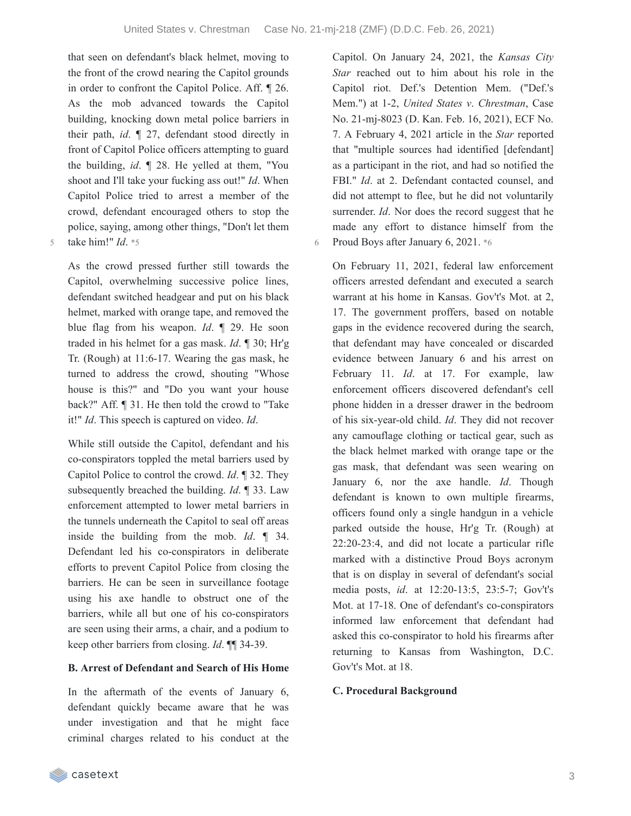that seen on defendant's black helmet, moving to the front of the crowd nearing the Capitol grounds in order to confront the Capitol Police. Aff. ¶ 26. As the mob advanced towards the Capitol building, knocking down metal police barriers in their path, *id*. ¶ 27, defendant stood directly in front of Capitol Police officers attempting to guard the building, *id*. ¶ 28. He yelled at them, "You shoot and I'll take your fucking ass out!" *Id*. When Capitol Police tried to arrest a member of the crowd, defendant encouraged others to stop the police, saying, among other things, "Don't let them 5 take him!" *Id*. \*5

As the crowd pressed further still towards the Capitol, overwhelming successive police lines, defendant switched headgear and put on his black helmet, marked with orange tape, and removed the blue flag from his weapon. *Id*. ¶ 29. He soon traded in his helmet for a gas mask. *Id*. ¶ 30; Hr'g Tr. (Rough) at 11:6-17. Wearing the gas mask, he turned to address the crowd, shouting "Whose house is this?" and "Do you want your house back?" Aff. ¶ 31. He then told the crowd to "Take it!" *Id*. This speech is captured on video. *Id*.

While still outside the Capitol, defendant and his co-conspirators toppled the metal barriers used by Capitol Police to control the crowd. *Id*. ¶ 32. They subsequently breached the building. *Id*. ¶ 33. Law enforcement attempted to lower metal barriers in the tunnels underneath the Capitol to seal off areas inside the building from the mob. *Id*. ¶ 34. Defendant led his co-conspirators in deliberate efforts to prevent Capitol Police from closing the barriers. He can be seen in surveillance footage using his axe handle to obstruct one of the barriers, while all but one of his co-conspirators are seen using their arms, a chair, and a podium to keep other barriers from closing. *Id*. ¶¶ 34-39.

#### **B. Arrest of Defendant and Search of His Home**

In the aftermath of the events of January 6, defendant quickly became aware that he was under investigation and that he might face criminal charges related to his conduct at the

Capitol. On January 24, 2021, the *Kansas City Star* reached out to him about his role in the Capitol riot. Def.'s Detention Mem. ("Def.'s Mem.") at 1-2, *United States v*. *Chrestman*, Case No. 21-mj-8023 (D. Kan. Feb. 16, 2021), ECF No. 7. A February 4, 2021 article in the *Star* reported that "multiple sources had identified [defendant] as a participant in the riot, and had so notified the FBI." *Id*. at 2. Defendant contacted counsel, and did not attempt to flee, but he did not voluntarily surrender. *Id*. Nor does the record suggest that he made any effort to distance himself from the 6 Proud Boys after January 6, 2021. \*6

On February 11, 2021, federal law enforcement officers arrested defendant and executed a search warrant at his home in Kansas. Gov't's Mot. at 2, 17. The government proffers, based on notable gaps in the evidence recovered during the search, that defendant may have concealed or discarded evidence between January 6 and his arrest on February 11. *Id*. at 17. For example, law enforcement officers discovered defendant's cell phone hidden in a dresser drawer in the bedroom of his six-year-old child. *Id*. They did not recover any camouflage clothing or tactical gear, such as the black helmet marked with orange tape or the gas mask, that defendant was seen wearing on January 6, nor the axe handle. *Id*. Though defendant is known to own multiple firearms, officers found only a single handgun in a vehicle parked outside the house, Hr'g Tr. (Rough) at 22:20-23:4, and did not locate a particular rifle marked with a distinctive Proud Boys acronym that is on display in several of defendant's social media posts, *id*. at 12:20-13:5, 23:5-7; Gov't's Mot. at 17-18. One of defendant's co-conspirators informed law enforcement that defendant had asked this co-conspirator to hold his firearms after returning to Kansas from Washington, D.C. Gov't's Mot. at 18.

#### **C. Procedural Background**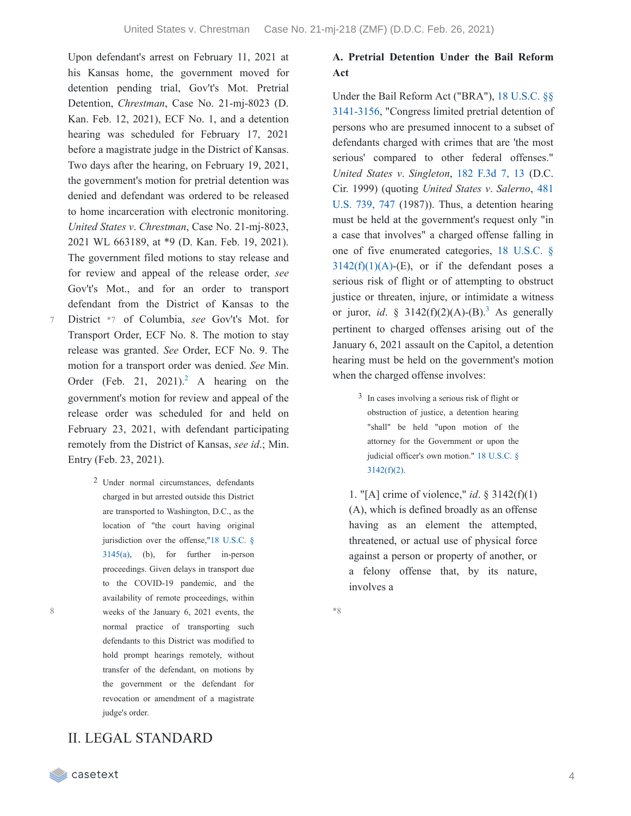Upon defendant's arrest on February 11, 2021 at his Kansas home, the government moved for detention pending trial, Gov't's Mot. Pretrial Detention, *Chrestman*, Case No. 21-mj-8023 (D. Kan. Feb. 12, 2021), ECF No. 1, and a detention hearing was scheduled for February 17, 2021 before a magistrate judge in the District of Kansas. Two days after the hearing, on February 19, 2021, the government's motion for pretrial detention was denied and defendant was ordered to be released to home incarceration with electronic monitoring. *United States v*. *Chrestman*, Case No. 21-mj-8023, 2021 WL 663189, at \*9 (D. Kan. Feb. 19, 2021). The government filed motions to stay release and for review and appeal of the release order, *see* Gov't's Mot., and for an order to transport defendant from the District of Kansas to the District \*7 of Columbia, *see* Gov't's Mot. for Transport Order, ECF No. 8. The motion to stay

- release was granted. *See* Order, ECF No. 9. The motion for a transport order was denied. *See* Min. Order (Feb. [2](https://casetext.com/_print/doc/united-states-v-chrestman-2?_printIncludeHighlights=false&_printIncludeKeyPassages=false&_printIsTwoColumn=true&_printEmail=&_printHighlightsKey=#N196827)1, 2021).<sup>2</sup> A hearing on the government's motion for review and appeal of the release order was scheduled for and held on February 23, 2021, with defendant participating remotely from the District of Kansas, *see id*.; Min. Entry (Feb. 23, 2021).
	- 2 Under normal circumstances, defendants charged in but arrested outside this District are transported to Washington, D.C., as the location of "the court having original jurisdiction over the [offense,"18](https://casetext.com/statute/united-states-code/title-18-crimes-and-criminal-procedure/part-ii-criminal-procedure/chapter-207-release-and-detention-pending-judicial-proceedings/section-3145-review-and-appeal-of-a-release-or-detention-order) U.S.C. § 3145(a), (b), for further in-person proceedings. Given delays in transport due to the COVID-19 pandemic, and the availability of remote proceedings, within weeks of the January 6, 2021 events, the normal practice of transporting such defendants to this District was modified to hold prompt hearings remotely, without transfer of the defendant, on motions by the government or the defendant for revocation or amendment of a magistrate judge's order.

# II. LEGAL STANDARD

**Act**

Under the Bail Reform Act ("BRA"), 18 U.S.C. §§ [3141-3156,](https://casetext.com/statute/united-states-code/title-18-crimes-and-criminal-procedure/part-ii-criminal-procedure/chapter-207-release-and-detention-pending-judicial-proceedings/section-3141-release-and-detention-authority-generally) "Congress limited pretrial detention of persons who are presumed innocent to a subset of defendants charged with crimes that are 'the most serious' compared to other federal offenses." *United States v*. *Singleton*, 182 [F.3d](https://casetext.com/case/us-v-singleton-68#p13) 7, 13 (D.C. Cir. 1999) (quoting *United States v*. *Salerno*, 481 U.S. 739, 747 (1987)). Thus, a [detention](https://casetext.com/case/united-states-v-salerno-7#p747) hearing must be held at the government's request only "in a case that involves" a charged offense falling in one of five enumerated categories, 18 U.S.C. §  $3142(f)(1)(A)$ -(E), or if the defendant poses a serious risk of flight or of attempting to obstruct justice or threaten, injure, or intimidate a witness or juror, *id.* §  $3142(f)(2)(A)-(B).$  $3142(f)(2)(A)-(B).$ <sup>3</sup> As generally pertinent to charged offenses arising out of the January 6, 2021 assault on the Capitol, a detention hearing must be held on the government's motion when the charged offense involves:

**A. Pretrial Detention Under the Bail Reform**

3 In cases involving a serious risk of flight or obstruction of justice, a detention hearing "shall" be held "upon motion of the attorney for the Government or upon the judicial officer's own motion." 18 U.S.C. §  $3142(f)(2)$ .

1. "[A] crime of violence," *id*. § 3142(f)(1) (A), which is defined broadly as an offense having as an element the attempted, threatened, or actual use of physical force against a person or property of another, or a felony offense that, by its nature, involves a

\*8

7

8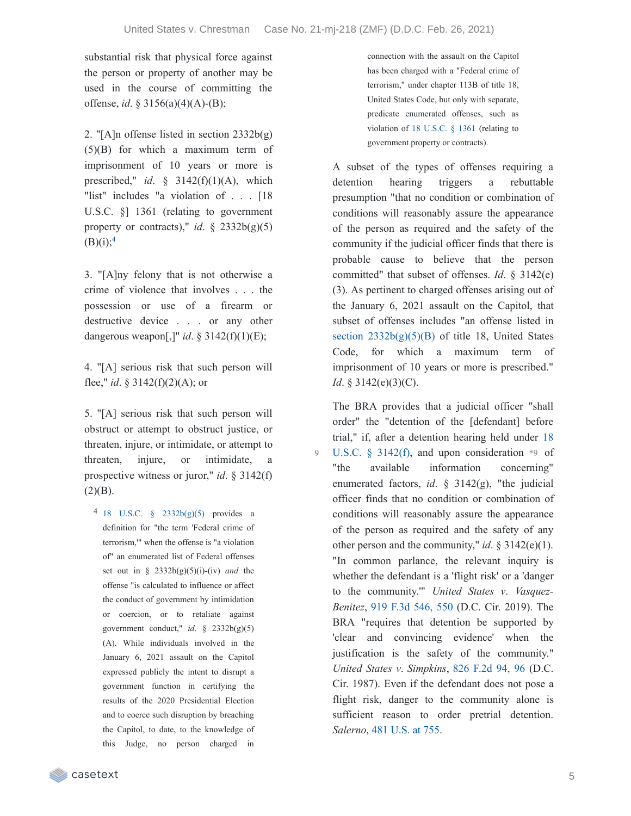$\overline{Q}$ 

substantial risk that physical force against the person or property of another may be used in the course of committing the offense, *id*. § 3156(a)(4)(A)-(B);

2. "[A]n offense listed in section  $2332b(g)$ ] (5)(B) for which a maximum term of imprisonment of 10 years or more is prescribed," *id*. § 3142(f)(1)(A), which "list" includes "a violation of . . . [18 U.S.C. §] 1361 (relating to government property or contracts)," *id.*  $\S$  2332b(g)(5)  $(B)(i);^{4}$  $(B)(i);^{4}$  $(B)(i);^{4}$ 

3. "[A]ny felony that is not otherwise a crime of violence that involves . . . the possession or use of a firearm or destructive device . . . or any other dangerous weapon[,]" *id*. § 3142(f)(1)(E);

4. "[A] serious risk that such person will flee," *id*. § 3142(f)(2)(A); or

5. "[A] serious risk that such person will obstruct or attempt to obstruct justice, or threaten, injure, or intimidate, or attempt to threaten, injure, or intimidate, a prospective witness or juror," *id*. § 3142(f)  $(2)(B)$ .

4 18 U.S.C. § [2332b\(g\)\(5\)](https://casetext.com/statute/united-states-code/title-18-crimes-and-criminal-procedure/part-i-crimes/chapter-113b-terrorism/section-2332b-acts-of-terrorism-transcending-national-boundaries) provides a definition for "the term 'Federal crime of terrorism,'" when the offense is "a violation of" an enumerated list of Federal offenses set out in § 2332b(g)(5)(i)-(iv) *and* the offense "is calculated to influence or affect the conduct of government by intimidation or coercion, or to retaliate against government conduct," *id*. § 2332b(g)(5) (A). While individuals involved in the January 6, 2021 assault on the Capitol expressed publicly the intent to disrupt a government function in certifying the results of the 2020 Presidential Election and to coerce such disruption by breaching the Capitol, to date, to the knowledge of this Judge, no person charged in

connection with the assault on the Capitol has been charged with a "Federal crime of terrorism," under chapter 113B of title 18, United States Code, but only with separate, predicate enumerated offenses, such as violation of 18 [U.S.C.](https://casetext.com/statute/united-states-code/title-18-crimes-and-criminal-procedure/part-i-crimes/chapter-65-malicious-mischief/section-1361-government-property-or-contracts) § 1361 (relating to government property or contracts).

A subset of the types of offenses requiring a detention hearing triggers a rebuttable presumption "that no condition or combination of conditions will reasonably assure the appearance of the person as required and the safety of the community if the judicial officer finds that there is probable cause to believe that the person committed" that subset of offenses. *Id*. § 3142(e) (3). As pertinent to charged offenses arising out of the January 6, 2021 assault on the Capitol, that subset of offenses includes "an offense listed in section  $2332b(g)(5)(B)$  of title 18, United States Code, for which a maximum term of imprisonment of 10 years or more is prescribed." *Id.* § 3142(e)(3)(C).

The BRA provides that a judicial officer "shall order" the "detention of the [defendant] before trial," if, after a detention hearing held under 18 U.S.C. § 3142(f), and upon [consideration](https://casetext.com/statute/united-states-code/title-18-crimes-and-criminal-procedure/part-ii-criminal-procedure/chapter-207-release-and-detention-pending-judicial-proceedings/section-3142-release-or-detention-of-a-defendant-pending-trial) \*9 of "the available information concerning" enumerated factors, *id*. § 3142(g), "the judicial officer finds that no condition or combination of conditions will reasonably assure the appearance of the person as required and the safety of any other person and the community," *id.*  $\S 3142(e)(1)$ . "In common parlance, the relevant inquiry is whether the defendant is a 'flight risk' or a 'danger to the community.'" *United States v*. *Vasquez-Benitez*, 919 F.3d [546,](https://casetext.com/case/united-states-v-vasquez-benitez-2#p550) 550 (D.C. Cir. 2019). The BRA "requires that detention be supported by 'clear and convincing evidence' when the justification is the safety of the community." *United States v*. *Simpkins*, 826 [F.2d](https://casetext.com/case/us-v-simpkins-3#p96) 94, 96 (D.C. Cir. 1987). Even if the defendant does not pose a flight risk, danger to the community alone is sufficient reason to order pretrial detention. *Salerno*, 481 [U.S.](https://casetext.com/case/united-states-v-salerno-7#p755) at 755.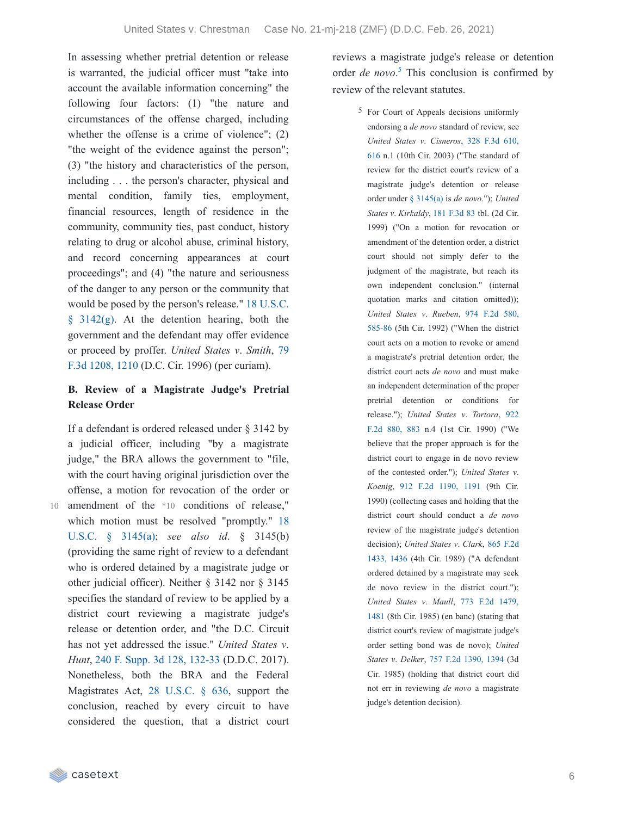In assessing whether pretrial detention or release is warranted, the judicial officer must "take into account the available information concerning" the following four factors: (1) "the nature and circumstances of the offense charged, including whether the offense is a crime of violence"; (2) "the weight of the evidence against the person"; (3) "the history and characteristics of the person, including . . . the person's character, physical and mental condition, family ties, employment, financial resources, length of residence in the community, community ties, past conduct, history relating to drug or alcohol abuse, criminal history, and record concerning appearances at court proceedings"; and (4) "the nature and seriousness of the danger to any person or the community that would be posed by the person's release." 18 U.S.C.  $§$  3142(g). At the [detention](https://casetext.com/statute/united-states-code/title-18-crimes-and-criminal-procedure/part-ii-criminal-procedure/chapter-207-release-and-detention-pending-judicial-proceedings/section-3142-release-or-detention-of-a-defendant-pending-trial) hearing, both the government and the defendant may offer evidence or proceed by proffer. *United States v*. *Smith*, 79 F.3d 1208, 1210 (D.C. Cir. 1996) (per [curiam\).](https://casetext.com/case/us-v-smith-507#p1210)

### **B. Review of a Magistrate Judge's Pretrial Release Order**

If a defendant is ordered released under § 3142 by a judicial officer, including "by a magistrate judge," the BRA allows the government to "file, with the court having original jurisdiction over the offense, a motion for revocation of the order or 10 amendment of the \*10 conditions of release," which motion must be resolved ["promptly."](https://casetext.com/statute/united-states-code/title-18-crimes-and-criminal-procedure/part-ii-criminal-procedure/chapter-207-release-and-detention-pending-judicial-proceedings/section-3145-review-and-appeal-of-a-release-or-detention-order) 18 U.S.C. § 3145(a); *see also id*. § 3145(b) (providing the same right of review to a defendant who is ordered detained by a magistrate judge or other judicial officer). Neither § 3142 nor § 3145 specifies the standard of review to be applied by a district court reviewing a magistrate judge's release or detention order, and "the D.C. Circuit has not yet addressed the issue." *United States v*. *Hunt*, 240 F. Supp. 3d 128, [132-33](https://casetext.com/case/united-states-v-hunt-95#p132) (D.D.C. 2017). Nonetheless, both the BRA and the Federal Magistrates Act, 28 [U.S.C.](https://casetext.com/statute/united-states-code/title-28-judiciary-and-judicial-procedure/part-iii-court-officers-and-employees/chapter-43-united-states-magistrate-judges/section-636-jurisdiction-powers-and-temporary-assignment) § 636, support the conclusion, reached by every circuit to have considered the question, that a district court

reviews a magistrate judge's release or detention order *de novo*.<sup>[5](https://casetext.com/_print/doc/united-states-v-chrestman-2?_printIncludeHighlights=false&_printIncludeKeyPassages=false&_printIsTwoColumn=true&_printEmail=&_printHighlightsKey=#N196977)</sup> This conclusion is confirmed by review of the relevant statutes.

> 5 For Court of Appeals decisions uniformly endorsing a *de novo* standard of review, see *United States v*. *[Cisneros](https://casetext.com/case/us-v-cisneros-13#p616)*, 328 F.3d 610, 616 n.1 (10th Cir. 2003) ("The standard of review for the district court's review of a magistrate judge's detention or release order under § [3145\(a\)](https://casetext.com/statute/united-states-code/title-18-crimes-and-criminal-procedure/part-ii-criminal-procedure/chapter-207-release-and-detention-pending-judicial-proceedings/section-3145-review-and-appeal-of-a-release-or-detention-order) is *de novo*."); *United States v*. *Kirkaldy*, 181 [F.3d](https://casetext.com/case/paramount-picture-corp-v-carol-pub-group) 83 tbl. (2d Cir. 1999) ("On a motion for revocation or amendment of the detention order, a district court should not simply defer to the judgment of the magistrate, but reach its own independent conclusion." (internal quotation marks and citation omitted)); *United States v*. *Rueben*, 974 F.2d 580, 585-86 (5th Cir. 1992) [\("When](https://casetext.com/case/us-v-rueben#p585) the district court acts on a motion to revoke or amend a magistrate's pretrial detention order, the district court acts *de novo* and must make an independent determination of the proper pretrial detention or conditions for [release."\);](https://casetext.com/case/us-v-tortora-3#p883) *United States v*. *Tortora*, 922 F.2d 880, 883 n.4 (1st Cir. 1990) ("We believe that the proper approach is for the district court to engage in de novo review of the contested order."); *United States v*. *Koenig*, 912 F.2d [1190,](https://casetext.com/case/us-v-koenig-7#p1191) 1191 (9th Cir. 1990) (collecting cases and holding that the district court should conduct a *de novo* review of the magistrate judge's detention [decision\);](https://casetext.com/case/us-v-clark-122#p1436) *United States v*. *Clark*, 865 F.2d 1433, 1436 (4th Cir. 1989) ("A defendant ordered detained by a magistrate may seek de novo review in the district court."); *United States v*. *Maull*, 773 F.2d 1479, 1481 (8th Cir. 1985) (en banc) [\(stating](https://casetext.com/case/united-states-v-maull#p1481) that district court's review of magistrate judge's order setting bond was de novo); *United States v*. *Delker*, 757 F.2d [1390,](https://casetext.com/case/united-states-v-delker#p1394) 1394 (3d Cir. 1985) (holding that district court did not err in reviewing *de novo* a magistrate judge's detention decision).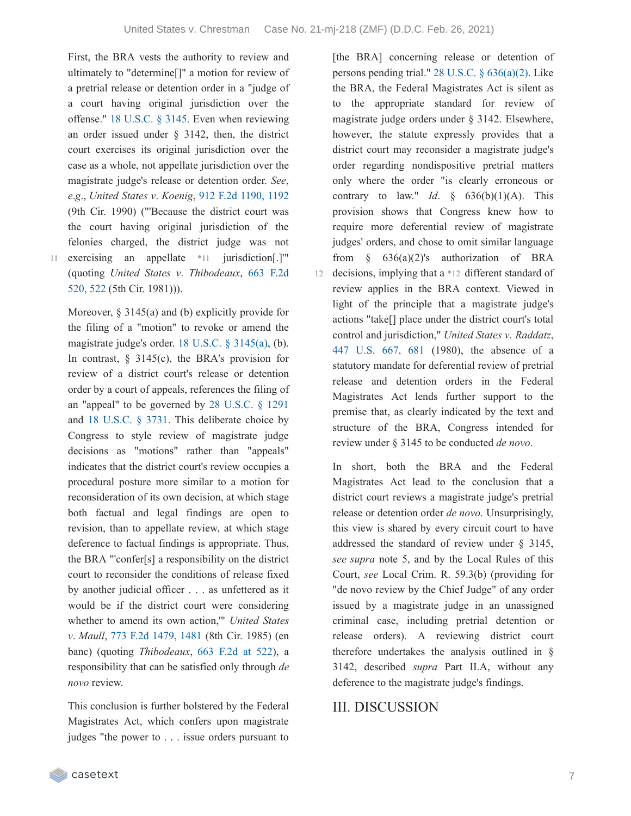First, the BRA vests the authority to review and ultimately to "determine[]" a motion for review of a pretrial release or detention order in a "judge of a court having original jurisdiction over the offense." 18 [U.S.C.](https://casetext.com/statute/united-states-code/title-18-crimes-and-criminal-procedure/part-ii-criminal-procedure/chapter-207-release-and-detention-pending-judicial-proceedings/section-3145-review-and-appeal-of-a-release-or-detention-order) § 3145. Even when reviewing an order issued under § 3142, then, the district court exercises its original jurisdiction over the case as a whole, not appellate jurisdiction over the magistrate judge's release or detention order. *See*, *e*.*g*., *United States v*. *Koenig*, 912 F.2d [1190,](https://casetext.com/case/us-v-koenig-7#p1192) 1192 (9th Cir. 1990) ("'Because the district court was the court having original jurisdiction of the felonies charged, the district judge was not 11 exercising an appellate \*11 jurisdiction[.]" (quoting *United States v*. *[Thibodeaux](https://casetext.com/case/united-states-v-thibodeaux#p522)*, 663 F.2d

520, 522 (5th Cir. 1981))).

Moreover, § 3145(a) and (b) explicitly provide for the filing of a "motion" to revoke or amend the magistrate judge's order. 18 U.S.C. § [3145\(a\),](https://casetext.com/statute/united-states-code/title-18-crimes-and-criminal-procedure/part-ii-criminal-procedure/chapter-207-release-and-detention-pending-judicial-proceedings/section-3145-review-and-appeal-of-a-release-or-detention-order) (b). In contrast, § 3145(c), the BRA's provision for review of a district court's release or detention order by a court of appeals, references the filing of an "appeal" to be governed by 28 [U.S.C.](https://casetext.com/statute/united-states-code/title-28-judiciary-and-judicial-procedure/part-iv-jurisdiction-and-venue/chapter-83-courts-of-appeals/section-1291-final-decisions-of-district-courts) § 1291 and 18 [U.S.C.](https://casetext.com/statute/united-states-code/title-18-crimes-and-criminal-procedure/part-ii-criminal-procedure/chapter-235-appeal/section-3731-appeal-by-united-states) § 3731. This deliberate choice by Congress to style review of magistrate judge decisions as "motions" rather than "appeals" indicates that the district court's review occupies a procedural posture more similar to a motion for reconsideration of its own decision, at which stage both factual and legal findings are open to revision, than to appellate review, at which stage deference to factual findings is appropriate. Thus, the BRA "'confer[s] a responsibility on the district court to reconsider the conditions of release fixed by another judicial officer . . . as unfettered as it would be if the district court were considering whether to amend its own action,'" *United States v*. *Maull*, 773 F.2d [1479,](https://casetext.com/case/united-states-v-maull#p1481) 1481 (8th Cir. 1985) (en

banc) (quoting *Thibodeaux*, 663 [F.2d](https://casetext.com/case/united-states-v-thibodeaux#p522) at 522), a responsibility that can be satisfied only through *de novo* review.

This conclusion is further bolstered by the Federal Magistrates Act, which confers upon magistrate judges "the power to . . . issue orders pursuant to

[the BRA] concerning release or detention of persons pending trial." 28 U.S.C. § [636\(a\)\(2\).](https://casetext.com/statute/united-states-code/title-28-judiciary-and-judicial-procedure/part-iii-court-officers-and-employees/chapter-43-united-states-magistrate-judges/section-636-jurisdiction-powers-and-temporary-assignment) Like the BRA, the Federal Magistrates Act is silent as to the appropriate standard for review of magistrate judge orders under § 3142. Elsewhere, however, the statute expressly provides that a district court may reconsider a magistrate judge's order regarding nondispositive pretrial matters only where the order "is clearly erroneous or contrary to law." *Id.*  $\frac{636(b)(1)(A)}{2}$ . This provision shows that Congress knew how to require more deferential review of magistrate judges' orders, and chose to omit similar language from  $\S$  636(a)(2)'s authorization of BRA 12 decisions, implying that a \*12 different standard of review applies in the BRA context. Viewed in light of the principle that a magistrate judge's actions "take[] place under the district court's total control and jurisdiction," *United States v*. *Raddatz*, 447 [U.S.](https://casetext.com/case/united-states-v-raddatz#p681) 667, 681 (1980), the absence of a statutory mandate for deferential review of pretrial release and detention orders in the Federal Magistrates Act lends further support to the premise that, as clearly indicated by the text and structure of the BRA, Congress intended for review under § 3145 to be conducted *de novo*.

In short, both the BRA and the Federal Magistrates Act lead to the conclusion that a district court reviews a magistrate judge's pretrial release or detention order *de novo*. Unsurprisingly, this view is shared by every circuit court to have addressed the standard of review under § 3145, *see supra* note 5, and by the Local Rules of this Court, *see* Local Crim. R. 59.3(b) (providing for "de novo review by the Chief Judge" of any order issued by a magistrate judge in an unassigned criminal case, including pretrial detention or release orders). A reviewing district court therefore undertakes the analysis outlined in § 3142, described *supra* Part II.A, without any deference to the magistrate judge's findings.

# III. DISCUSSION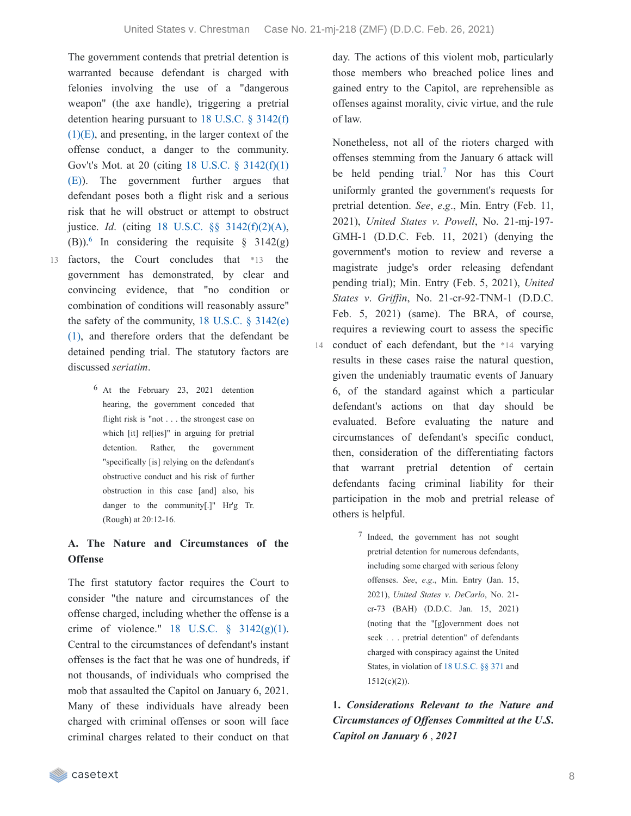14

The government contends that pretrial detention is warranted because defendant is charged with felonies involving the use of a "dangerous weapon" (the axe handle), triggering a pretrial detention hearing pursuant to 18 U.S.C. § 3142(f)  $(1)(E)$ , and [presenting,](https://casetext.com/statute/united-states-code/title-18-crimes-and-criminal-procedure/part-ii-criminal-procedure/chapter-207-release-and-detention-pending-judicial-proceedings/section-3142-release-or-detention-of-a-defendant-pending-trial) in the larger context of the offense conduct, a danger to the community. Gov't's Mot. at 20 (citing 18 U.S.C. § 3142(f)(1) (E)). The [government](https://casetext.com/statute/united-states-code/title-18-crimes-and-criminal-procedure/part-ii-criminal-procedure/chapter-207-release-and-detention-pending-judicial-proceedings/section-3142-release-or-detention-of-a-defendant-pending-trial) further argues that defendant poses both a flight risk and a serious risk that he will obstruct or attempt to obstruct justice. *Id*. (citing 18 U.S.C. §§ [3142\(f\)\(2\)\(A\),](https://casetext.com/statute/united-states-code/title-18-crimes-and-criminal-procedure/part-ii-criminal-procedure/chapter-207-release-and-detention-pending-judicial-proceedings/section-3142-release-or-detention-of-a-defendant-pending-trial)  $(B)$ <sup>[6](https://casetext.com/_print/doc/united-states-v-chrestman-2?_printIncludeHighlights=false&_printIncludeKeyPassages=false&_printIsTwoColumn=true&_printEmail=&_printHighlightsKey=#N197062)</sup> In considering the requisite § 3142(g) 13 factors, the Court concludes that \*13 the government has demonstrated, by clear and convincing evidence, that "no condition or

- combination of conditions will reasonably assure" the safety of the [community,](https://casetext.com/statute/united-states-code/title-18-crimes-and-criminal-procedure/part-ii-criminal-procedure/chapter-207-release-and-detention-pending-judicial-proceedings/section-3142-release-or-detention-of-a-defendant-pending-trial)  $18$  U.S.C.  $\S$  3142(e) (1), and therefore orders that the defendant be detained pending trial. The statutory factors are discussed *seriatim*.
	- 6 At the February 23, 2021 detention hearing, the government conceded that flight risk is "not . . . the strongest case on which [it] rel[ies]" in arguing for pretrial detention. Rather, the government "specifically [is] relying on the defendant's obstructive conduct and his risk of further obstruction in this case [and] also, his danger to the community[.]" Hr'g Tr. (Rough) at 20:12-16.

### **A. The Nature and Circumstances of the Offense**

The first statutory factor requires the Court to consider "the nature and circumstances of the offense charged, including whether the offense is a crime of violence."  $18$  U.S.C.  $\frac{6}{9}$  [3142\(g\)\(1\).](https://casetext.com/statute/united-states-code/title-18-crimes-and-criminal-procedure/part-ii-criminal-procedure/chapter-207-release-and-detention-pending-judicial-proceedings/section-3142-release-or-detention-of-a-defendant-pending-trial) Central to the circumstances of defendant's instant offenses is the fact that he was one of hundreds, if not thousands, of individuals who comprised the mob that assaulted the Capitol on January 6, 2021. Many of these individuals have already been charged with criminal offenses or soon will face criminal charges related to their conduct on that

day. The actions of this violent mob, particularly those members who breached police lines and gained entry to the Capitol, are reprehensible as offenses against morality, civic virtue, and the rule of law.

Nonetheless, not all of the rioters charged with offenses stemming from the January 6 attack will be held pending trial.<sup>[7](https://casetext.com/_print/doc/united-states-v-chrestman-2?_printIncludeHighlights=false&_printIncludeKeyPassages=false&_printIsTwoColumn=true&_printEmail=&_printHighlightsKey=#N197082)</sup> Nor has this Court uniformly granted the government's requests for pretrial detention. *See*, *e*.*g*., Min. Entry (Feb. 11, 2021), *United States v*. *Powell*, No. 21-mj-197- GMH-1 (D.D.C. Feb. 11, 2021) (denying the government's motion to review and reverse a magistrate judge's order releasing defendant pending trial); Min. Entry (Feb. 5, 2021), *United States v*. *Grif in*, No. 21-cr-92-TNM-1 (D.D.C. Feb. 5, 2021) (same). The BRA, of course, requires a reviewing court to assess the specific conduct of each defendant, but the \*14 varying results in these cases raise the natural question, given the undeniably traumatic events of January 6, of the standard against which a particular defendant's actions on that day should be evaluated. Before evaluating the nature and circumstances of defendant's specific conduct, then, consideration of the differentiating factors that warrant pretrial detention of certain defendants facing criminal liability for their participation in the mob and pretrial release of others is helpful.

> 7 Indeed, the government has not sought pretrial detention for numerous defendants, including some charged with serious felony offenses. *See*, *e*.*g*., Min. Entry (Jan. 15, 2021), *United States v*. *DeCarlo*, No. 21 cr-73 (BAH) (D.D.C. Jan. 15, 2021) (noting that the "[g]overnment does not seek . . . pretrial detention" of defendants charged with conspiracy against the United States, in violation of 18 [U.S.C.](https://casetext.com/statute/united-states-code/title-18-crimes-and-criminal-procedure/part-i-crimes/chapter-19-conspiracy/section-371-conspiracy-to-commit-offense-or-to-defraud-united-states) §§ 371 and 1512(c)(2)).

**1.** *Considerations Relevant to the Nature and Circumstances of Of enses Committed at the U***.***S***.** *Capitol on January 6* , *2021*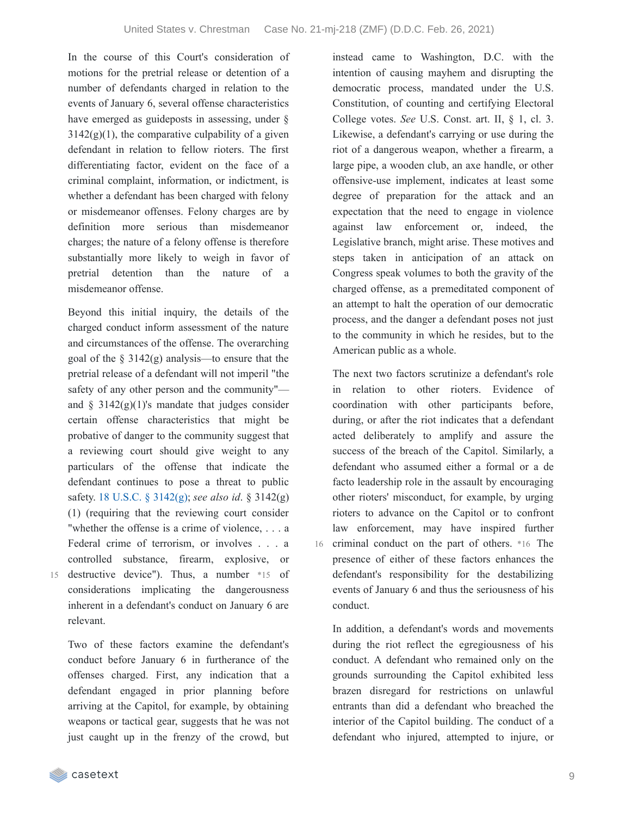In the course of this Court's consideration of motions for the pretrial release or detention of a number of defendants charged in relation to the events of January 6, several offense characteristics have emerged as guideposts in assessing, under §  $3142(g)(1)$ , the comparative culpability of a given defendant in relation to fellow rioters. The first differentiating factor, evident on the face of a criminal complaint, information, or indictment, is whether a defendant has been charged with felony or misdemeanor offenses. Felony charges are by definition more serious than misdemeanor charges; the nature of a felony offense is therefore substantially more likely to weigh in favor of pretrial detention than the nature of a misdemeanor offense.

Beyond this initial inquiry, the details of the charged conduct inform assessment of the nature and circumstances of the offense. The overarching goal of the § 3142(g) analysis—to ensure that the pretrial release of a defendant will not imperil "the safety of any other person and the community" and  $\S$  3142(g)(1)'s mandate that judges consider certain offense characteristics that might be probative of danger to the community suggest that a reviewing court should give weight to any particulars of the offense that indicate the defendant continues to pose a threat to public safety. 18 U.S.C. § [3142\(g\)](https://casetext.com/statute/united-states-code/title-18-crimes-and-criminal-procedure/part-ii-criminal-procedure/chapter-207-release-and-detention-pending-judicial-proceedings/section-3142-release-or-detention-of-a-defendant-pending-trial); *see also id*. § 3142(g) (1) (requiring that the reviewing court consider "whether the offense is a crime of violence, . . . a Federal crime of terrorism, or involves . . . a controlled substance, firearm, explosive, or

15

destructive device"). Thus, a number \*15 of considerations implicating the dangerousness inherent in a defendant's conduct on January 6 are relevant.

Two of these factors examine the defendant's conduct before January 6 in furtherance of the offenses charged. First, any indication that a defendant engaged in prior planning before arriving at the Capitol, for example, by obtaining weapons or tactical gear, suggests that he was not just caught up in the frenzy of the crowd, but instead came to Washington, D.C. with the intention of causing mayhem and disrupting the democratic process, mandated under the U.S. Constitution, of counting and certifying Electoral College votes. *See* U.S. Const. art. II, § 1, cl. 3. Likewise, a defendant's carrying or use during the riot of a dangerous weapon, whether a firearm, a large pipe, a wooden club, an axe handle, or other offensive-use implement, indicates at least some degree of preparation for the attack and an expectation that the need to engage in violence against law enforcement or, indeed, the Legislative branch, might arise. These motives and steps taken in anticipation of an attack on Congress speak volumes to both the gravity of the charged offense, as a premeditated component of an attempt to halt the operation of our democratic process, and the danger a defendant poses not just to the community in which he resides, but to the American public as a whole.

The next two factors scrutinize a defendant's role in relation to other rioters. Evidence of coordination with other participants before, during, or after the riot indicates that a defendant acted deliberately to amplify and assure the success of the breach of the Capitol. Similarly, a defendant who assumed either a formal or a de facto leadership role in the assault by encouraging other rioters' misconduct, for example, by urging rioters to advance on the Capitol or to confront law enforcement, may have inspired further 16 criminal conduct on the part of others. \*16 The presence of either of these factors enhances the defendant's responsibility for the destabilizing events of January 6 and thus the seriousness of his conduct.

In addition, a defendant's words and movements during the riot reflect the egregiousness of his conduct. A defendant who remained only on the grounds surrounding the Capitol exhibited less brazen disregard for restrictions on unlawful entrants than did a defendant who breached the interior of the Capitol building. The conduct of a defendant who injured, attempted to injure, or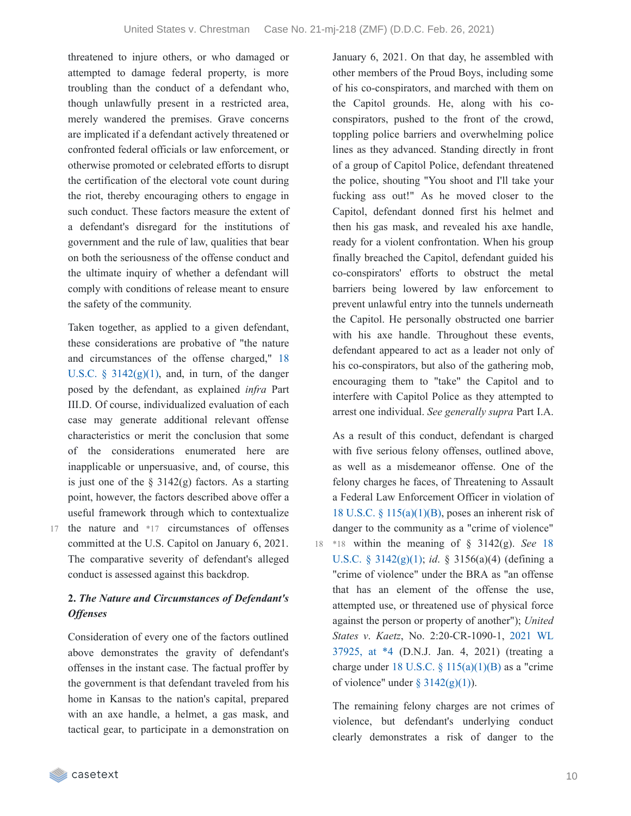threatened to injure others, or who damaged or attempted to damage federal property, is more troubling than the conduct of a defendant who, though unlawfully present in a restricted area, merely wandered the premises. Grave concerns are implicated if a defendant actively threatened or confronted federal officials or law enforcement, or otherwise promoted or celebrated efforts to disrupt the certification of the electoral vote count during the riot, thereby encouraging others to engage in such conduct. These factors measure the extent of a defendant's disregard for the institutions of government and the rule of law, qualities that bear on both the seriousness of the offense conduct and the ultimate inquiry of whether a defendant will comply with conditions of release meant to ensure the safety of the community.

Taken together, as applied to a given defendant, these considerations are probative of "the nature and [circumstances](https://casetext.com/statute/united-states-code/title-18-crimes-and-criminal-procedure/part-ii-criminal-procedure/chapter-207-release-and-detention-pending-judicial-proceedings/section-3142-release-or-detention-of-a-defendant-pending-trial) of the offense charged," 18 U.S.C.  $\S$  3142(g)(1), and, in turn, of the danger posed by the defendant, as explained *infra* Part III.D. Of course, individualized evaluation of each case may generate additional relevant offense characteristics or merit the conclusion that some of the considerations enumerated here are inapplicable or unpersuasive, and, of course, this is just one of the  $\S$  3142(g) factors. As a starting point, however, the factors described above offer a useful framework through which to contextualize 17 the nature and \*17 circumstances of offenses committed at the U.S. Capitol on January 6, 2021. The comparative severity of defendant's alleged conduct is assessed against this backdrop.

### **2.** *The Nature and Circumstances of Defendant's Of enses*

Consideration of every one of the factors outlined above demonstrates the gravity of defendant's offenses in the instant case. The factual proffer by the government is that defendant traveled from his home in Kansas to the nation's capital, prepared with an axe handle, a helmet, a gas mask, and tactical gear, to participate in a demonstration on

January 6, 2021. On that day, he assembled with other members of the Proud Boys, including some of his co-conspirators, and marched with them on the Capitol grounds. He, along with his coconspirators, pushed to the front of the crowd, toppling police barriers and overwhelming police lines as they advanced. Standing directly in front of a group of Capitol Police, defendant threatened the police, shouting "You shoot and I'll take your fucking ass out!" As he moved closer to the Capitol, defendant donned first his helmet and then his gas mask, and revealed his axe handle, ready for a violent confrontation. When his group finally breached the Capitol, defendant guided his co-conspirators' efforts to obstruct the metal barriers being lowered by law enforcement to prevent unlawful entry into the tunnels underneath the Capitol. He personally obstructed one barrier with his axe handle. Throughout these events, defendant appeared to act as a leader not only of his co-conspirators, but also of the gathering mob, encouraging them to "take" the Capitol and to interfere with Capitol Police as they attempted to arrest one individual. *See generally supra* Part I.A.

As a result of this conduct, defendant is charged with five serious felony offenses, outlined above, as well as a misdemeanor offense. One of the felony charges he faces, of Threatening to Assault a Federal Law Enforcement Officer in violation of 18 U.S.C.  $\S$  [115\(a\)\(1\)\(B\)](https://casetext.com/statute/united-states-code/title-18-crimes-and-criminal-procedure/part-i-crimes/chapter-7-assault/section-115-influencing-impeding-or-retaliating-against-a-federal-official-by-threatening-or-injuring-a-family-member), poses an inherent risk of danger to the community as a "crime of violence" \*18 within the meaning of § 3142(g). *See* 18 18 U.S.C. § [3142\(g\)\(1\);](https://casetext.com/statute/united-states-code/title-18-crimes-and-criminal-procedure/part-ii-criminal-procedure/chapter-207-release-and-detention-pending-judicial-proceedings/section-3142-release-or-detention-of-a-defendant-pending-trial) *id*. § 3156(a)(4) (defining a "crime of violence" under the BRA as "an offense that has an element of the offense the use, attempted use, or threatened use of physical force against the person or property of another"); *United States v*. *Kaetz*, No. [2:20-CR-1090-1,](https://casetext.com/case/united-states-v-kaetz-1#p4) 2021 WL 37925, at \*4 (D.N.J. Jan. 4, 2021) (treating a charge under 18 U.S.C.  $\S$  [115\(a\)\(1\)\(B\)](https://casetext.com/statute/united-states-code/title-18-crimes-and-criminal-procedure/part-i-crimes/chapter-7-assault/section-115-influencing-impeding-or-retaliating-against-a-federal-official-by-threatening-or-injuring-a-family-member) as a "crime of violence" under  $\S 3142(g)(1)$  $\S 3142(g)(1)$ ).

The remaining felony charges are not crimes of violence, but defendant's underlying conduct clearly demonstrates a risk of danger to the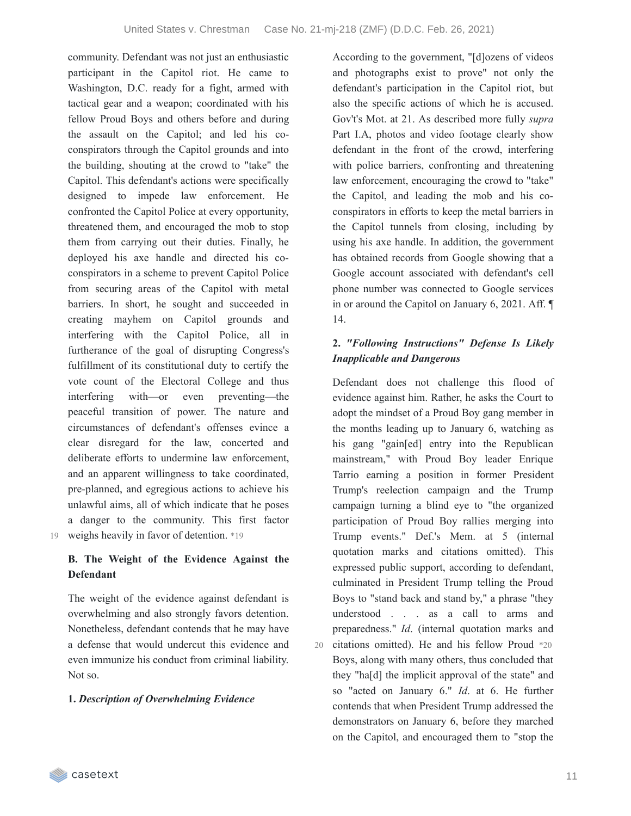community. Defendant was not just an enthusiastic participant in the Capitol riot. He came to Washington, D.C. ready for a fight, armed with tactical gear and a weapon; coordinated with his fellow Proud Boys and others before and during the assault on the Capitol; and led his coconspirators through the Capitol grounds and into the building, shouting at the crowd to "take" the Capitol. This defendant's actions were specifically designed to impede law enforcement. He confronted the Capitol Police at every opportunity, threatened them, and encouraged the mob to stop them from carrying out their duties. Finally, he deployed his axe handle and directed his coconspirators in a scheme to prevent Capitol Police from securing areas of the Capitol with metal barriers. In short, he sought and succeeded in creating mayhem on Capitol grounds and interfering with the Capitol Police, all in furtherance of the goal of disrupting Congress's fulfillment of its constitutional duty to certify the vote count of the Electoral College and thus interfering with—or even preventing—the peaceful transition of power. The nature and circumstances of defendant's offenses evince a clear disregard for the law, concerted and deliberate efforts to undermine law enforcement, and an apparent willingness to take coordinated, pre-planned, and egregious actions to achieve his unlawful aims, all of which indicate that he poses a danger to the community. This first factor 19 weighs heavily in favor of detention. \*19

**B. The Weight of the Evidence Against the Defendant**

The weight of the evidence against defendant is overwhelming and also strongly favors detention. Nonetheless, defendant contends that he may have a defense that would undercut this evidence and even immunize his conduct from criminal liability. Not so.

#### **1.** *Description of Overwhelming Evidence*

According to the government, "[d]ozens of videos and photographs exist to prove" not only the defendant's participation in the Capitol riot, but also the specific actions of which he is accused. Gov't's Mot. at 21. As described more fully *supra* Part I.A, photos and video footage clearly show defendant in the front of the crowd, interfering with police barriers, confronting and threatening law enforcement, encouraging the crowd to "take" the Capitol, and leading the mob and his coconspirators in efforts to keep the metal barriers in the Capitol tunnels from closing, including by using his axe handle. In addition, the government has obtained records from Google showing that a Google account associated with defendant's cell phone number was connected to Google services in or around the Capitol on January 6, 2021. Aff. ¶ 14.

## **2.** *"Following Instructions" Defense Is Likely Inapplicable and Dangerous*

Defendant does not challenge this flood of evidence against him. Rather, he asks the Court to adopt the mindset of a Proud Boy gang member in the months leading up to January 6, watching as his gang "gain[ed] entry into the Republican mainstream," with Proud Boy leader Enrique Tarrio earning a position in former President Trump's reelection campaign and the Trump campaign turning a blind eye to "the organized participation of Proud Boy rallies merging into Trump events." Def.'s Mem. at 5 (internal quotation marks and citations omitted). This expressed public support, according to defendant, culminated in President Trump telling the Proud Boys to "stand back and stand by," a phrase "they understood . . . as a call to arms and preparedness." *Id*. (internal quotation marks and citations omitted). He and his fellow Proud \*20 Boys, along with many others, thus concluded that they "ha[d] the implicit approval of the state" and so "acted on January 6." *Id*. at 6. He further contends that when President Trump addressed the demonstrators on January 6, before they marched on the Capitol, and encouraged them to "stop the 20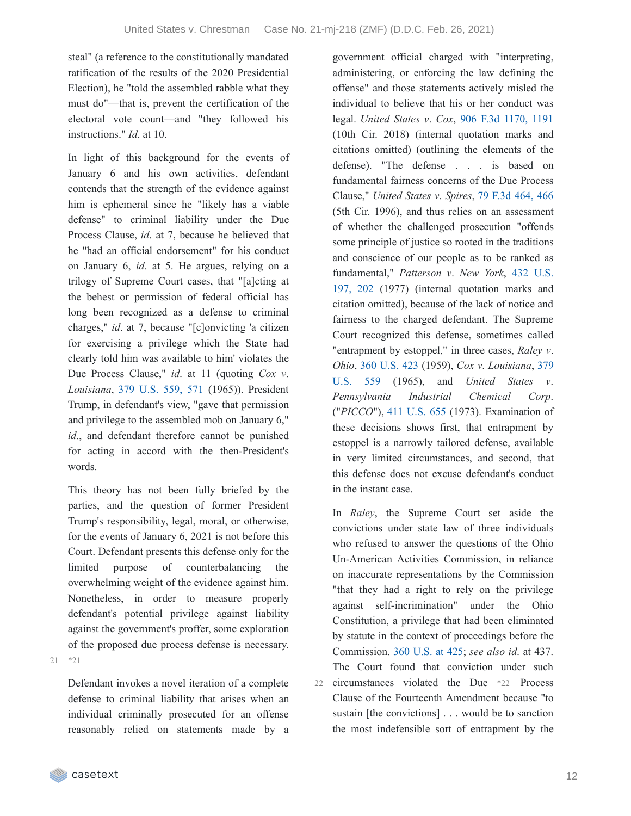steal" (a reference to the constitutionally mandated ratification of the results of the 2020 Presidential Election), he "told the assembled rabble what they must do"—that is, prevent the certification of the electoral vote count—and "they followed his instructions." *Id*. at 10.

In light of this background for the events of January 6 and his own activities, defendant contends that the strength of the evidence against him is ephemeral since he "likely has a viable defense" to criminal liability under the Due Process Clause, *id*. at 7, because he believed that he "had an official endorsement" for his conduct on January 6, *id*. at 5. He argues, relying on a trilogy of Supreme Court cases, that "[a]cting at the behest or permission of federal official has long been recognized as a defense to criminal charges," *id*. at 7, because "[c]onvicting 'a citizen for exercising a privilege which the State had clearly told him was available to him' violates the Due Process Clause," *id*. at 11 (quoting *Cox v*. *Louisiana*, 379 [U.S.](https://casetext.com/case/cox-v-louisiana-2#p571) 559, 571 (1965)). President Trump, in defendant's view, "gave that permission and privilege to the assembled mob on January 6," *id*., and defendant therefore cannot be punished for acting in accord with the then-President's words.

This theory has not been fully briefed by the parties, and the question of former President Trump's responsibility, legal, moral, or otherwise, for the events of January 6, 2021 is not before this Court. Defendant presents this defense only for the limited purpose of counterbalancing the overwhelming weight of the evidence against him. Nonetheless, in order to measure properly defendant's potential privilege against liability against the government's proffer, some exploration of the proposed due process defense is necessary. 21 \*21

Defendant invokes a novel iteration of a complete defense to criminal liability that arises when an individual criminally prosecuted for an offense reasonably relied on statements made by a government official charged with "interpreting, administering, or enforcing the law defining the offense" and those statements actively misled the individual to believe that his or her conduct was legal. *United States v*. *Cox*, 906 F.3d [1170,](https://casetext.com/case/united-states-v-cox-2003#p1191) 1191 (10th Cir. 2018) (internal quotation marks and citations omitted) (outlining the elements of the defense). "The defense . . . is based on fundamental fairness concerns of the Due Process Clause," *United States v*. *Spires*, 79 F.3d [464,](https://casetext.com/case/us-v-spires-4#p466) 466 (5th Cir. 1996), and thus relies on an assessment of whether the challenged prosecution "offends some principle of justice so rooted in the traditions and conscience of our people as to be ranked as [fundamental,"](https://casetext.com/case/patterson-v-new-york#p202) *Patterson v*. *New York*, 432 U.S. 197, 202 (1977) (internal quotation marks and citation omitted), because of the lack of notice and fairness to the charged defendant. The Supreme Court recognized this defense, sometimes called "entrapment by estoppel," in three cases, *Raley v*. *Ohio*, 360 [U.S.](https://casetext.com/case/raley-v-ohio) 423 (1959), *Cox v*. *[Louisiana](https://casetext.com/case/cox-v-louisiana-2)*, 379 U.S. 559 (1965), and *United States v*. *Pennsylvania Industrial Chemical Corp*. ("*PICCO*"), 411 [U.S.](https://casetext.com/case/united-states-v-pennsylvania-chem-corp) 655 (1973). Examination of these decisions shows first, that entrapment by estoppel is a narrowly tailored defense, available in very limited circumstances, and second, that this defense does not excuse defendant's conduct in the instant case.

In *Raley*, the Supreme Court set aside the convictions under state law of three individuals who refused to answer the questions of the Ohio Un-American Activities Commission, in reliance on inaccurate representations by the Commission "that they had a right to rely on the privilege against self-incrimination" under the Ohio Constitution, a privilege that had been eliminated by statute in the context of proceedings before the Commission. 360 [U.S.](https://casetext.com/case/raley-v-ohio#p425) at 425; *see also id*. at 437. The Court found that conviction under such 22 circumstances violated the Due \*22 Process Clause of the Fourteenth Amendment because "to sustain [the convictions] . . . would be to sanction the most indefensible sort of entrapment by the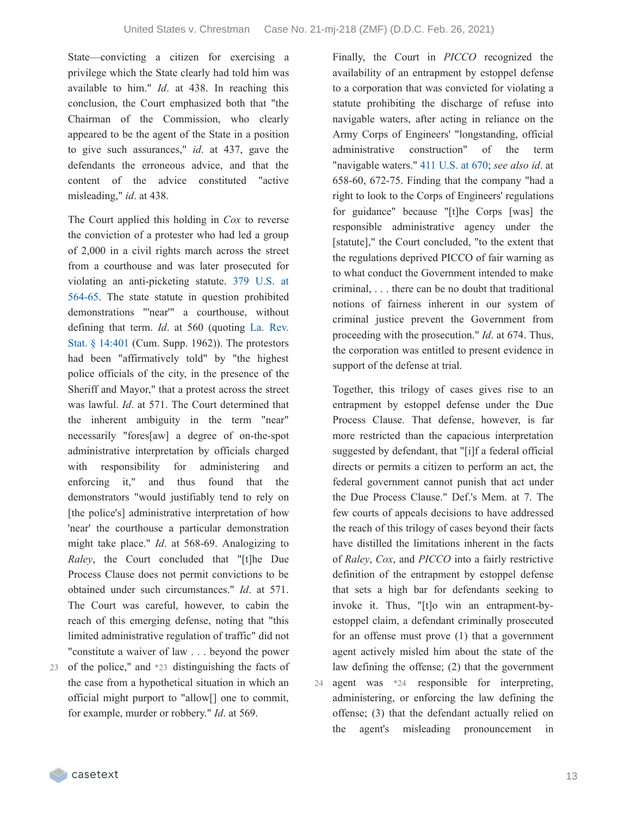State—convicting a citizen for exercising a privilege which the State clearly had told him was available to him." *Id*. at 438. In reaching this conclusion, the Court emphasized both that "the Chairman of the Commission, who clearly appeared to be the agent of the State in a position to give such assurances," *id*. at 437, gave the defendants the erroneous advice, and that the content of the advice constituted "active misleading," *id*. at 438.

The Court applied this holding in *Cox* to reverse the conviction of a protester who had led a group of 2,000 in a civil rights march across the street from a courthouse and was later prosecuted for violating an [anti-picketing](https://casetext.com/case/cox-v-louisiana-2#p564) statute. 379 U.S. at 564-65. The state statute in question prohibited demonstrations "'near'" a courthouse, without defining that term. *Id*. at 560 (quoting La. Rev. Stat. § 14:401 (Cum. Supp. 1962)). The [protestors](https://casetext.com/statute/louisiana-revised-statutes/revised-statutes/title-14-criminal-law/chapter-2-miscellaneous-crimes-and-offenses/part-v-offenses-affecting-law-enforcement/section-14401-demonstrations-in-or-near-building-housing-a-court-or-occupied-as-residence-by-judge-juror-witness-or-court-officer) had been "affirmatively told" by "the highest police officials of the city, in the presence of the Sheriff and Mayor," that a protest across the street was lawful. *Id*. at 571. The Court determined that the inherent ambiguity in the term "near" necessarily "fores[aw] a degree of on-the-spot administrative interpretation by officials charged with responsibility for administering and enforcing it," and thus found that the demonstrators "would justifiably tend to rely on [the police's] administrative interpretation of how 'near' the courthouse a particular demonstration might take place." *Id*. at 568-69. Analogizing to *Raley*, the Court concluded that "[t]he Due Process Clause does not permit convictions to be obtained under such circumstances." *Id*. at 571. The Court was careful, however, to cabin the reach of this emerging defense, noting that "this limited administrative regulation of traffic" did not "constitute a waiver of law . . . beyond the power 23 of the police," and \*23 distinguishing the facts of the case from a hypothetical situation in which an

official might purport to "allow[] one to commit, for example, murder or robbery." *Id*. at 569.

Finally, the Court in *PICCO* recognized the availability of an entrapment by estoppel defense to a corporation that was convicted for violating a statute prohibiting the discharge of refuse into navigable waters, after acting in reliance on the Army Corps of Engineers' "longstanding, official administrative construction" of the term "navigable waters." 411 [U.S.](https://casetext.com/case/united-states-v-pennsylvania-chem-corp#p670) at 670; *see also id*. at 658-60, 672-75. Finding that the company "had a right to look to the Corps of Engineers' regulations for guidance" because "[t]he Corps [was] the responsible administrative agency under the [statute]," the Court concluded, "to the extent that the regulations deprived PICCO of fair warning as to what conduct the Government intended to make criminal, . . . there can be no doubt that traditional notions of fairness inherent in our system of criminal justice prevent the Government from proceeding with the prosecution." *Id*. at 674. Thus, the corporation was entitled to present evidence in support of the defense at trial.

Together, this trilogy of cases gives rise to an entrapment by estoppel defense under the Due Process Clause. That defense, however, is far more restricted than the capacious interpretation suggested by defendant, that "[i]f a federal official directs or permits a citizen to perform an act, the federal government cannot punish that act under the Due Process Clause." Def.'s Mem. at 7. The few courts of appeals decisions to have addressed the reach of this trilogy of cases beyond their facts have distilled the limitations inherent in the facts of *Raley*, *Cox*, and *PICCO* into a fairly restrictive definition of the entrapment by estoppel defense that sets a high bar for defendants seeking to invoke it. Thus, "[t]o win an entrapment-byestoppel claim, a defendant criminally prosecuted for an offense must prove (1) that a government agent actively misled him about the state of the law defining the offense; (2) that the government agent was \*24 responsible for interpreting, administering, or enforcing the law defining the offense; (3) that the defendant actually relied on the agent's misleading pronouncement in 24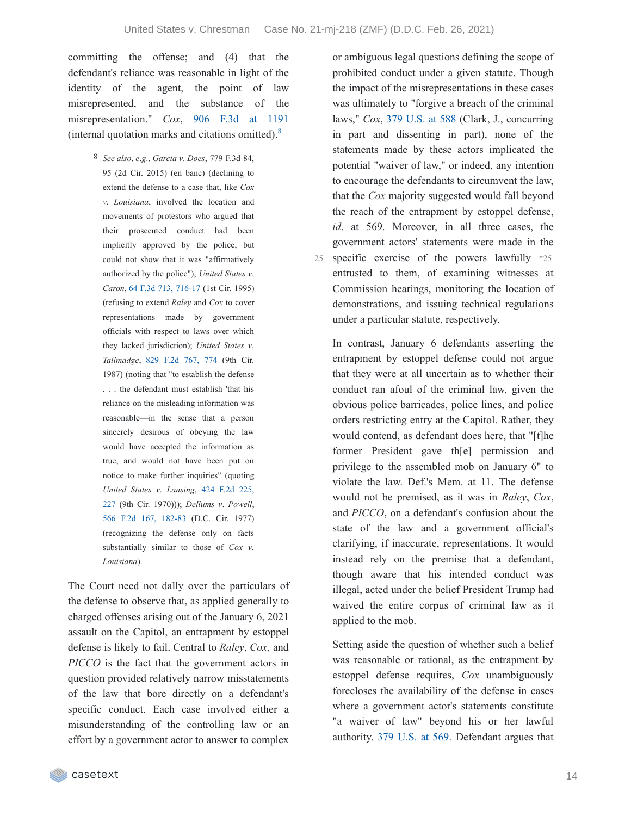committing the offense; and (4) that the defendant's reliance was reasonable in light of the identity of the agent, the point of law misrepresented, and the substance of the misrepresentation." *Cox*, 906 F.3d at [1191](https://casetext.com/case/united-states-v-cox-2003#p1191) (internal quotation marks and citations omitted). [8](https://casetext.com/_print/doc/united-states-v-chrestman-2?_printIncludeHighlights=false&_printIncludeKeyPassages=false&_printIsTwoColumn=true&_printEmail=&_printHighlightsKey=#N197381)

> 8 *See also*, *e*.*g*., *Garcia v*. *Does*, 779 F.3d 84, 95 (2d Cir. 2015) (en banc) (declining to extend the defense to a case that, like *Cox v*. *Louisiana*, involved the location and movements of protestors who argued that their prosecuted conduct had been implicitly approved by the police, but could not show that it was "affirmatively authorized by the police"); *United States v*. *Caron*, 64 F.3d 713, [716-17](https://casetext.com/case/us-v-caron-3#p716) (1st Cir. 1995) (refusing to extend *Raley* and *Cox* to cover representations made by government officials with respect to laws over which they lacked jurisdiction); *United States v*. *Tallmadge*, 829 F.2d [767,](https://casetext.com/case/us-v-tallmadge#p774) 774 (9th Cir. 1987) (noting that "to establish the defense . . . the defendant must establish 'that his reliance on the misleading information was reasonable—in the sense that a person sincerely desirous of obeying the law would have accepted the information as true, and would not have been put on notice to make further inquiries" (quoting *United States v*. *Lansing*, 424 F.2d 225, 227 (9th Cir. 1970))); *[Dellums](https://casetext.com/case/united-states-v-lansing-2#p227) v*. *Powell*, 566 F.2d 167, [182-83](https://casetext.com/case/dellums-v-powell-3#p182) (D.C. Cir. 1977) (recognizing the defense only on facts substantially similar to those of *Cox v*. *Louisiana*).

The Court need not dally over the particulars of the defense to observe that, as applied generally to charged offenses arising out of the January 6, 2021 assault on the Capitol, an entrapment by estoppel defense is likely to fail. Central to *Raley*, *Cox*, and *PICCO* is the fact that the government actors in question provided relatively narrow misstatements of the law that bore directly on a defendant's specific conduct. Each case involved either a misunderstanding of the controlling law or an effort by a government actor to answer to complex

or ambiguous legal questions defining the scope of prohibited conduct under a given statute. Though the impact of the misrepresentations in these cases was ultimately to "forgive a breach of the criminal laws," *Cox*, 379 [U.S.](https://casetext.com/case/cox-v-louisiana-2#p588) at 588 (Clark, J., concurring in part and dissenting in part), none of the statements made by these actors implicated the potential "waiver of law," or indeed, any intention to encourage the defendants to circumvent the law, that the *Cox* majority suggested would fall beyond the reach of the entrapment by estoppel defense, *id*. at 569. Moreover, in all three cases, the government actors' statements were made in the 25 specific exercise of the powers lawfully \*25 entrusted to them, of examining witnesses at Commission hearings, monitoring the location of demonstrations, and issuing technical regulations under a particular statute, respectively.

In contrast, January 6 defendants asserting the entrapment by estoppel defense could not argue that they were at all uncertain as to whether their conduct ran afoul of the criminal law, given the obvious police barricades, police lines, and police orders restricting entry at the Capitol. Rather, they would contend, as defendant does here, that "[t]he former President gave th[e] permission and privilege to the assembled mob on January 6" to violate the law. Def.'s Mem. at 11. The defense would not be premised, as it was in *Raley*, *Cox*, and *PICCO*, on a defendant's confusion about the state of the law and a government official's clarifying, if inaccurate, representations. It would instead rely on the premise that a defendant, though aware that his intended conduct was illegal, acted under the belief President Trump had waived the entire corpus of criminal law as it applied to the mob.

Setting aside the question of whether such a belief was reasonable or rational, as the entrapment by estoppel defense requires, *Cox* unambiguously forecloses the availability of the defense in cases where a government actor's statements constitute "a waiver of law" beyond his or her lawful authority. 379 [U.S.](https://casetext.com/case/cox-v-louisiana-2#p569) at 569. Defendant argues that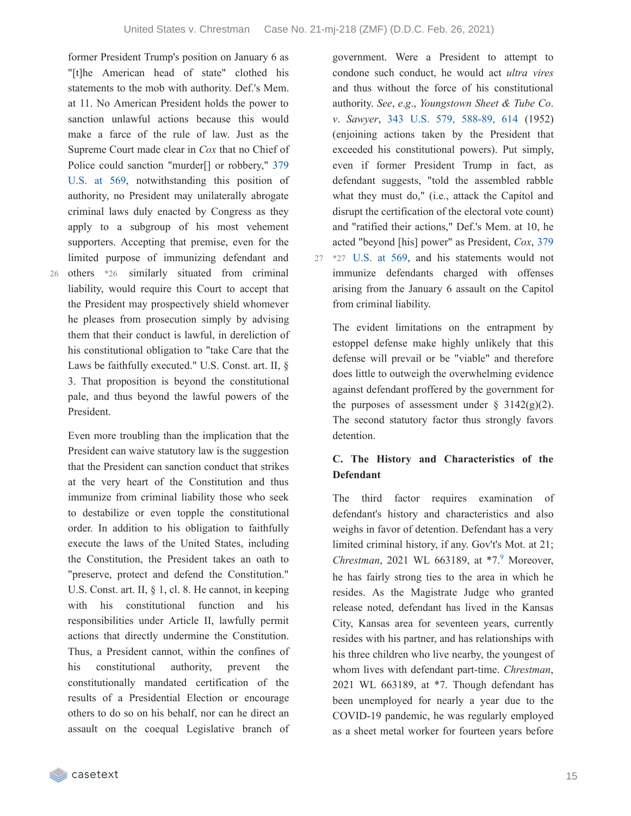former President Trump's position on January 6 as "[t]he American head of state" clothed his statements to the mob with authority. Def.'s Mem. at 11. No American President holds the power to sanction unlawful actions because this would make a farce of the rule of law. Just as the Supreme Court made clear in *Cox* that no Chief of Police could sanction "murder<sup>[]</sup> or robbery," 379 U.S. at 569, [notwithstanding](https://casetext.com/case/cox-v-louisiana-2#p569) this position of authority, no President may unilaterally abrogate criminal laws duly enacted by Congress as they apply to a subgroup of his most vehement supporters. Accepting that premise, even for the limited purpose of immunizing defendant and others \*26 similarly situated from criminal liability, would require this Court to accept that the President may prospectively shield whomever he pleases from prosecution simply by advising them that their conduct is lawful, in dereliction of his constitutional obligation to "take Care that the Laws be faithfully executed." U.S. Const. art. II, § 3. That proposition is beyond the constitutional pale, and thus beyond the lawful powers of the President.

Even more troubling than the implication that the President can waive statutory law is the suggestion that the President can sanction conduct that strikes at the very heart of the Constitution and thus immunize from criminal liability those who seek to destabilize or even topple the constitutional order. In addition to his obligation to faithfully execute the laws of the United States, including the Constitution, the President takes an oath to "preserve, protect and defend the Constitution." U.S. Const. art. II, § 1, cl. 8. He cannot, in keeping with his constitutional function and his responsibilities under Article II, lawfully permit actions that directly undermine the Constitution. Thus, a President cannot, within the confines of his constitutional authority, prevent the constitutionally mandated certification of the results of a Presidential Election or encourage others to do so on his behalf, nor can he direct an assault on the coequal Legislative branch of

government. Were a President to attempt to condone such conduct, he would act *ultra vires* and thus without the force of his constitutional authority. *See*, *e*.*g*., *Youngstown Sheet & Tube Co*. *v*. *Sawyer*, 343 U.S. 579, [588-89,](https://casetext.com/case/youngstown-co-v-sawyer#p588) 614 (1952) (enjoining actions taken by the President that exceeded his constitutional powers). Put simply, even if former President Trump in fact, as defendant suggests, "told the assembled rabble what they must do," (i.e., attack the Capitol and disrupt the certification of the electoral vote count) and "ratified their actions," Def.'s Mem. at 10, he acted "beyond [his] power" as President, *Cox*, 379  $27$  \*27 U.S. at 569, and his [statements](https://casetext.com/case/cox-v-louisiana-2#p569) would not immunize defendants charged with offenses arising from the January 6 assault on the Capitol from criminal liability.

The evident limitations on the entrapment by estoppel defense make highly unlikely that this defense will prevail or be "viable" and therefore does little to outweigh the overwhelming evidence against defendant proffered by the government for the purposes of assessment under  $\S$  3142(g)(2). The second statutory factor thus strongly favors detention.

### **C. The History and Characteristics of the Defendant**

The third factor requires examination of defendant's history and characteristics and also weighs in favor of detention. Defendant has a very limited criminal history, if any. Gov't's Mot. at 21; *Chrestman*, 2021 WL 66318[9](https://casetext.com/_print/doc/united-states-v-chrestman-2?_printIncludeHighlights=false&_printIncludeKeyPassages=false&_printIsTwoColumn=true&_printEmail=&_printHighlightsKey=#N197474), at \*7.<sup>9</sup> Moreover, he has fairly strong ties to the area in which he resides. As the Magistrate Judge who granted release noted, defendant has lived in the Kansas City, Kansas area for seventeen years, currently resides with his partner, and has relationships with his three children who live nearby, the youngest of whom lives with defendant part-time. *Chrestman*, 2021 WL 663189, at \*7. Though defendant has been unemployed for nearly a year due to the COVID-19 pandemic, he was regularly employed as a sheet metal worker for fourteen years before

26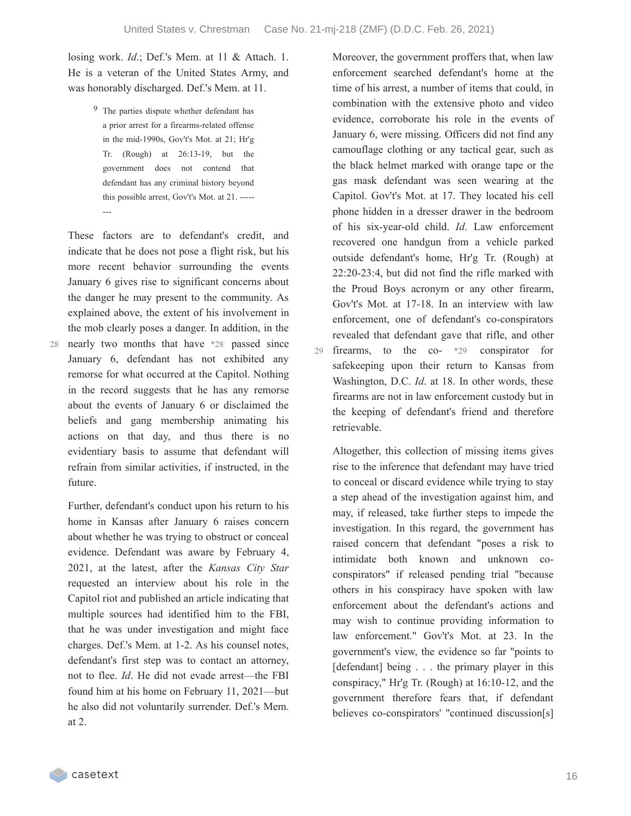29

losing work. *Id*.; Def.'s Mem. at 11 & Attach. 1. He is a veteran of the United States Army, and was honorably discharged. Def.'s Mem. at 11.

> 9 The parties dispute whether defendant has a prior arrest for a firearms-related offense in the mid-1990s, Gov't's Mot. at 21; Hr'g Tr. (Rough) at 26:13-19, but the government does not contend that defendant has any criminal history beyond this possible arrest, Gov't's Mot. at 21. ----- ---

These factors are to defendant's credit, and indicate that he does not pose a flight risk, but his more recent behavior surrounding the events January 6 gives rise to significant concerns about the danger he may present to the community. As explained above, the extent of his involvement in the mob clearly poses a danger. In addition, in the nearly two months that have \*28 passed since 28 January 6, defendant has not exhibited any remorse for what occurred at the Capitol. Nothing in the record suggests that he has any remorse about the events of January 6 or disclaimed the beliefs and gang membership animating his actions on that day, and thus there is no evidentiary basis to assume that defendant will refrain from similar activities, if instructed, in the future.

Further, defendant's conduct upon his return to his home in Kansas after January 6 raises concern about whether he was trying to obstruct or conceal evidence. Defendant was aware by February 4, 2021, at the latest, after the *Kansas City Star* requested an interview about his role in the Capitol riot and published an article indicating that multiple sources had identified him to the FBI, that he was under investigation and might face charges. Def.'s Mem. at 1-2. As his counsel notes, defendant's first step was to contact an attorney, not to flee. *Id*. He did not evade arrest—the FBI found him at his home on February 11, 2021—but he also did not voluntarily surrender. Def.'s Mem. at 2.

Moreover, the government proffers that, when law enforcement searched defendant's home at the time of his arrest, a number of items that could, in combination with the extensive photo and video evidence, corroborate his role in the events of January 6, were missing. Officers did not find any camouflage clothing or any tactical gear, such as the black helmet marked with orange tape or the gas mask defendant was seen wearing at the Capitol. Gov't's Mot. at 17. They located his cell phone hidden in a dresser drawer in the bedroom of his six-year-old child. *Id*. Law enforcement recovered one handgun from a vehicle parked outside defendant's home, Hr'g Tr. (Rough) at 22:20-23:4, but did not find the rifle marked with the Proud Boys acronym or any other firearm, Gov't's Mot. at 17-18. In an interview with law enforcement, one of defendant's co-conspirators revealed that defendant gave that rifle, and other firearms, to the co- \*29 conspirator for safekeeping upon their return to Kansas from Washington, D.C. *Id*. at 18. In other words, these firearms are not in law enforcement custody but in the keeping of defendant's friend and therefore retrievable.

Altogether, this collection of missing items gives rise to the inference that defendant may have tried to conceal or discard evidence while trying to stay a step ahead of the investigation against him, and may, if released, take further steps to impede the investigation. In this regard, the government has raised concern that defendant "poses a risk to intimidate both known and unknown coconspirators" if released pending trial "because others in his conspiracy have spoken with law enforcement about the defendant's actions and may wish to continue providing information to law enforcement." Gov't's Mot. at 23. In the government's view, the evidence so far "points to [defendant] being . . . the primary player in this conspiracy," Hr'g Tr. (Rough) at 16:10-12, and the government therefore fears that, if defendant believes co-conspirators' "continued discussion[s]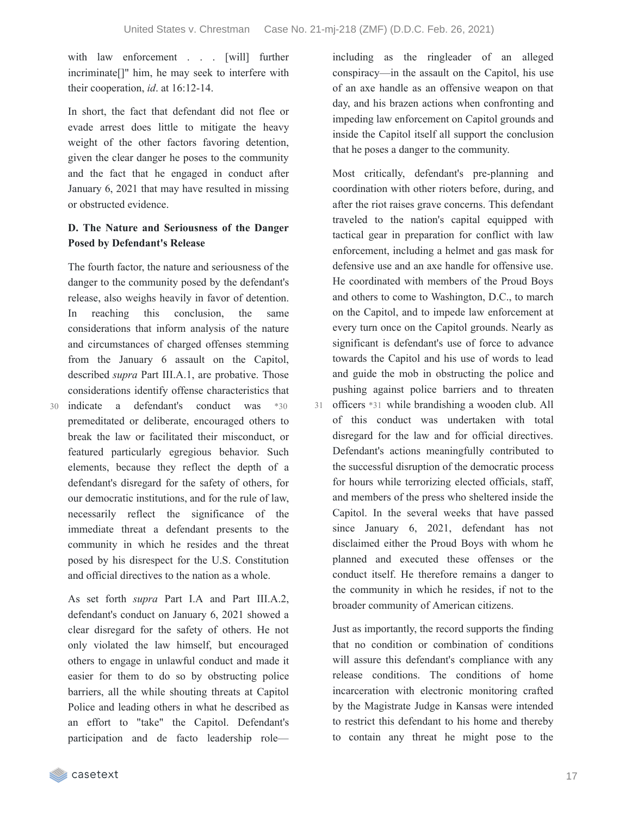with law enforcement . . . [will] further incriminate[]" him, he may seek to interfere with their cooperation, *id*. at 16:12-14.

In short, the fact that defendant did not flee or evade arrest does little to mitigate the heavy weight of the other factors favoring detention, given the clear danger he poses to the community and the fact that he engaged in conduct after January 6, 2021 that may have resulted in missing or obstructed evidence.

### **D. The Nature and Seriousness of the Danger Posed by Defendant's Release**

The fourth factor, the nature and seriousness of the danger to the community posed by the defendant's release, also weighs heavily in favor of detention. In reaching this conclusion, the same considerations that inform analysis of the nature and circumstances of charged offenses stemming from the January 6 assault on the Capitol, described *supra* Part III.A.1, are probative. Those considerations identify offense characteristics that

indicate a defendant's conduct was \*30 30 premeditated or deliberate, encouraged others to break the law or facilitated their misconduct, or featured particularly egregious behavior. Such elements, because they reflect the depth of a defendant's disregard for the safety of others, for our democratic institutions, and for the rule of law, necessarily reflect the significance of the immediate threat a defendant presents to the community in which he resides and the threat posed by his disrespect for the U.S. Constitution and official directives to the nation as a whole.

As set forth *supra* Part I.A and Part III.A.2, defendant's conduct on January 6, 2021 showed a clear disregard for the safety of others. He not only violated the law himself, but encouraged others to engage in unlawful conduct and made it easier for them to do so by obstructing police barriers, all the while shouting threats at Capitol Police and leading others in what he described as an effort to "take" the Capitol. Defendant's participation and de facto leadership roleincluding as the ringleader of an alleged conspiracy—in the assault on the Capitol, his use of an axe handle as an offensive weapon on that day, and his brazen actions when confronting and impeding law enforcement on Capitol grounds and inside the Capitol itself all support the conclusion that he poses a danger to the community.

Most critically, defendant's pre-planning and coordination with other rioters before, during, and after the riot raises grave concerns. This defendant traveled to the nation's capital equipped with tactical gear in preparation for conflict with law enforcement, including a helmet and gas mask for defensive use and an axe handle for offensive use. He coordinated with members of the Proud Boys and others to come to Washington, D.C., to march on the Capitol, and to impede law enforcement at every turn once on the Capitol grounds. Nearly as significant is defendant's use of force to advance towards the Capitol and his use of words to lead and guide the mob in obstructing the police and pushing against police barriers and to threaten

officers \*31 while brandishing a wooden club. All 31 of this conduct was undertaken with total disregard for the law and for official directives. Defendant's actions meaningfully contributed to the successful disruption of the democratic process for hours while terrorizing elected officials, staff, and members of the press who sheltered inside the Capitol. In the several weeks that have passed since January 6, 2021, defendant has not disclaimed either the Proud Boys with whom he planned and executed these offenses or the conduct itself. He therefore remains a danger to the community in which he resides, if not to the broader community of American citizens.

Just as importantly, the record supports the finding that no condition or combination of conditions will assure this defendant's compliance with any release conditions. The conditions of home incarceration with electronic monitoring crafted by the Magistrate Judge in Kansas were intended to restrict this defendant to his home and thereby to contain any threat he might pose to the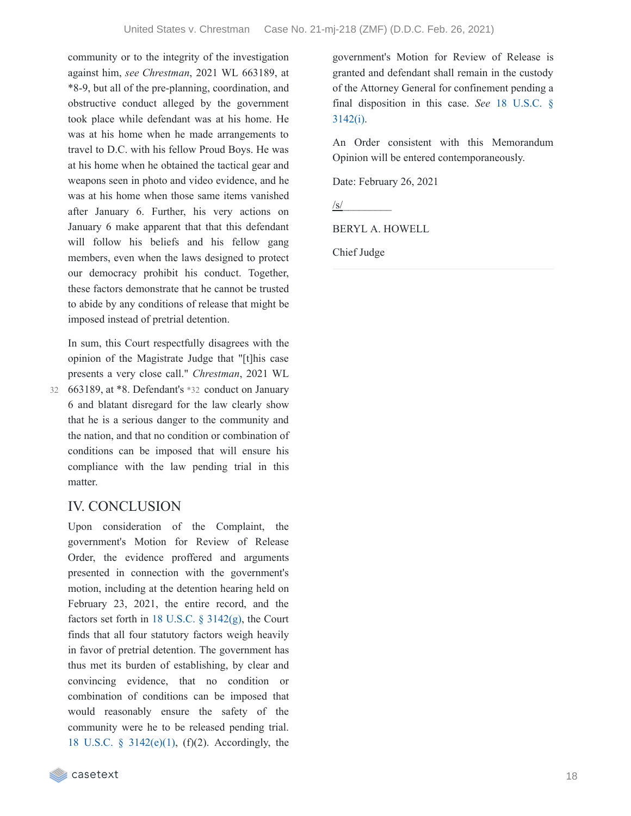community or to the integrity of the investigation against him, *see Chrestman*, 2021 WL 663189, at \*8-9, but all of the pre-planning, coordination, and obstructive conduct alleged by the government took place while defendant was at his home. He was at his home when he made arrangements to travel to D.C. with his fellow Proud Boys. He was at his home when he obtained the tactical gear and weapons seen in photo and video evidence, and he was at his home when those same items vanished after January 6. Further, his very actions on January 6 make apparent that that this defendant will follow his beliefs and his fellow gang members, even when the laws designed to protect our democracy prohibit his conduct. Together, these factors demonstrate that he cannot be trusted to abide by any conditions of release that might be imposed instead of pretrial detention.

In sum, this Court respectfully disagrees with the opinion of the Magistrate Judge that "[t]his case presents a very close call." *Chrestman*, 2021 WL 663189, at \*8. Defendant's \*32 conduct on January 32 6 and blatant disregard for the law clearly show that he is a serious danger to the community and the nation, and that no condition or combination of

conditions can be imposed that will ensure his compliance with the law pending trial in this matter.

# IV. CONCLUSION

Upon consideration of the Complaint, the government's Motion for Review of Release Order, the evidence proffered and arguments presented in connection with the government's motion, including at the detention hearing held on February 23, 2021, the entire record, and the factors set forth in 18 U.S.C.  $\S$  [3142\(g\),](https://casetext.com/statute/united-states-code/title-18-crimes-and-criminal-procedure/part-ii-criminal-procedure/chapter-207-release-and-detention-pending-judicial-proceedings/section-3142-release-or-detention-of-a-defendant-pending-trial) the Court finds that all four statutory factors weigh heavily in favor of pretrial detention. The government has thus met its burden of establishing, by clear and convincing evidence, that no condition or combination of conditions can be imposed that would reasonably ensure the safety of the community were he to be released pending trial. 18 U.S.C. § [3142\(e\)\(1\)](https://casetext.com/statute/united-states-code/title-18-crimes-and-criminal-procedure/part-ii-criminal-procedure/chapter-207-release-and-detention-pending-judicial-proceedings/section-3142-release-or-detention-of-a-defendant-pending-trial), (f)(2). Accordingly, the government's Motion for Review of Release is granted and defendant shall remain in the custody of the Attorney General for confinement pending a final [disposition](https://casetext.com/statute/united-states-code/title-18-crimes-and-criminal-procedure/part-ii-criminal-procedure/chapter-207-release-and-detention-pending-judicial-proceedings/section-3142-release-or-detention-of-a-defendant-pending-trial) in this case. *See* 18 U.S.C. § 3142(i).

An Order consistent with this Memorandum Opinion will be entered contemporaneously.

Date: February 26, 2021

 $\sqrt{s}$ /

BERYL A. HOWELL

Chief Judge